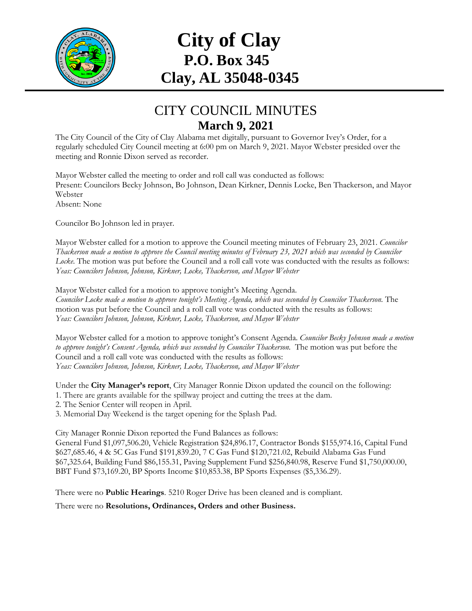

## **City of Clay P.O. Box 345 Clay, AL 35048-0345**

## CITY COUNCIL MINUTES **March 9, 2021**

The City Council of the City of Clay Alabama met digitally, pursuant to Governor Ivey's Order, for a regularly scheduled City Council meeting at 6:00 pm on March 9, 2021. Mayor Webster presided over the meeting and Ronnie Dixon served as recorder.

Mayor Webster called the meeting to order and roll call was conducted as follows: Present: Councilors Becky Johnson, Bo Johnson, Dean Kirkner, Dennis Locke, Ben Thackerson, and Mayor Webster Absent: None

Councilor Bo Johnson led in prayer.

Mayor Webster called for a motion to approve the Council meeting minutes of February 23, 2021. *Councilor Thackerson made a motion to approve the Council meeting minutes of February 23, 2021 which was seconded by Councilor Locke.* The motion was put before the Council and a roll call vote was conducted with the results as follows: *Yeas: Councilors Johnson, Johnson, Kirkner, Locke, Thackerson, and Mayor Webster*

Mayor Webster called for a motion to approve tonight's Meeting Agenda. *Councilor Locke made a motion to approve tonight's Meeting Agenda, which was seconded by Councilor Thackerson.* The motion was put before the Council and a roll call vote was conducted with the results as follows: *Yeas: Councilors Johnson, Johnson, Kirkner, Locke, Thackerson, and Mayor Webster*

Mayor Webster called for a motion to approve tonight's Consent Agenda. *Councilor Becky Johnson made a motion*  to approve tonight's Consent Agenda, which was seconded by Councilor Thackerson. The motion was put before the Council and a roll call vote was conducted with the results as follows: *Yeas: Councilors Johnson, Johnson, Kirkner, Locke, Thackerson, and Mayor Webster*

Under the **City Manager's report**, City Manager Ronnie Dixon updated the council on the following:

1. There are grants available for the spillway project and cutting the trees at the dam.

2. The Senior Center will reopen in April.

3. Memorial Day Weekend is the target opening for the Splash Pad.

City Manager Ronnie Dixon reported the Fund Balances as follows:

General Fund \$1,097,506.20, Vehicle Registration \$24,896.17, Contractor Bonds \$155,974.16, Capital Fund \$627,685.46, 4 & 5C Gas Fund \$191,839.20, 7 C Gas Fund \$120,721.02, Rebuild Alabama Gas Fund \$67,325.64, Building Fund \$86,155.31, Paving Supplement Fund \$256,840.98, Reserve Fund \$1,750,000.00, BBT Fund \$73,169.20, BP Sports Income \$10,853.38, BP Sports Expenses (\$5,336.29).

There were no **Public Hearings**. 5210 Roger Drive has been cleaned and is compliant.

There were no **Resolutions, Ordinances, Orders and other Business.**